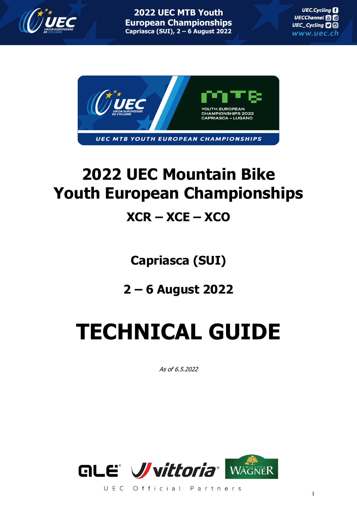



# **2022 UEC Mountain Bike Youth European Championships**

# **XCR – XCE – XCO**

**Capriasca (SUI)**

**2 – 6 August 2022**

# **TECHNICAL GUIDE**

As of 6.5.2022



UEC Official Partners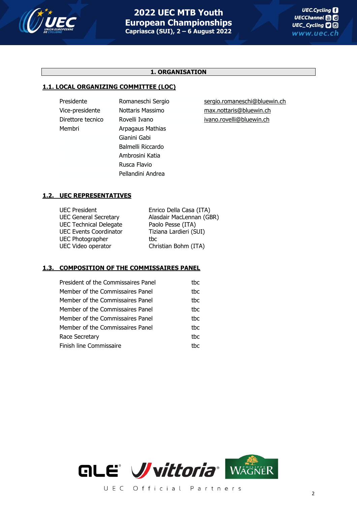

# **1. ORGANISATION**

#### **1.1. LOCAL ORGANIZING COMMITTEE (LOC)**

Membri **Arpagaus Mathias** Gianini Gabi Balmelli Riccardo Ambrosini Katia Rusca Flavio Pellandini Andrea

Presidente Romaneschi Sergio [sergio.romaneschi@bluewin.ch](mailto:sergio.romaneschi@bluewin.ch) Vice-presidente Nottaris Massimo [max.nottaris@bluewin.ch](mailto:max.nottaris@bluewin.ch) Direttore tecnico Rovelli Ivano [ivano.rovelli@bluewin.ch](mailto:ivano.rovelli@bluewin.ch)

# **1.2. UEC REPRESENTATIVES**

| <b>UEC President</b>          | Enrico Della Casa (ITA)  |
|-------------------------------|--------------------------|
| <b>UEC General Secretary</b>  | Alasdair MacLennan (GBR) |
| <b>UEC Technical Delegate</b> | Paolo Pesse (ITA)        |
| <b>UEC Events Coordinator</b> | Tiziana Lardieri (SUI)   |
| <b>UEC Photographer</b>       | thc                      |
| UEC Video operator            | Christian Bohm (ITA)     |
|                               |                          |

# **1.3. COMPOSITION OF THE COMMISSAIRES PANEL**

| President of the Commissaires Panel | thc  |
|-------------------------------------|------|
| Member of the Commissaires Panel    | thc. |
| Member of the Commissaires Panel    | thc. |
| Member of the Commissaires Panel    | thc. |
| Member of the Commissaires Panel    | thc  |
| Member of the Commissaires Panel    | thc. |
| Race Secretary                      | thc. |
| Finish line Commissaire             | thc  |

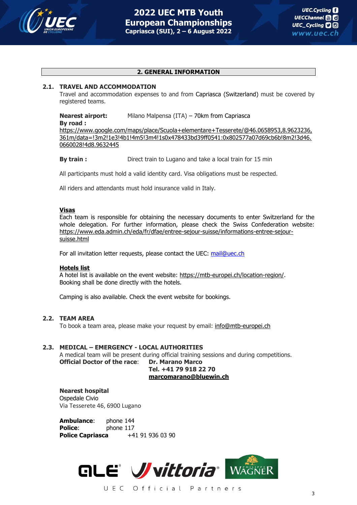

#### **2. GENERAL INFORMATION**

#### **2.1. TRAVEL AND ACCOMMODATION**

Travel and accommodation expenses to and from Capriasca (Switzerland) must be covered by registered teams.

# **Nearest airport:** Milano Malpensa (ITA) – 70km from Capriasca

# **By road :**

[https://www.google.com/maps/place/Scuola+elementare+Tesserete/@46.0658953,8.9623236,](https://www.google.com/maps/place/Scuola+elementare+Tesserete/@46.0658953,8.9623236,361m/data=!3m2!1e3!4b1!4m5!3m4!1s0x478433bd39ff0541:0x802577a07d69cb6b!8m2!3d46.0660028!4d8.9632445) [361m/data=!3m2!1e3!4b1!4m5!3m4!1s0x478433bd39ff0541:0x802577a07d69cb6b!8m2!3d46.](https://www.google.com/maps/place/Scuola+elementare+Tesserete/@46.0658953,8.9623236,361m/data=!3m2!1e3!4b1!4m5!3m4!1s0x478433bd39ff0541:0x802577a07d69cb6b!8m2!3d46.0660028!4d8.9632445) [0660028!4d8.9632445](https://www.google.com/maps/place/Scuola+elementare+Tesserete/@46.0658953,8.9623236,361m/data=!3m2!1e3!4b1!4m5!3m4!1s0x478433bd39ff0541:0x802577a07d69cb6b!8m2!3d46.0660028!4d8.9632445)

**By train:** Direct train to Lugano and take a local train for 15 min

All participants must hold a valid identity card. Visa obligations must be respected.

All riders and attendants must hold insurance valid in Italy.

#### **Visas**

Each team is responsible for obtaining the necessary documents to enter Switzerland for the whole delegation. For further information, please check the Swiss Confederation website: [https://www.eda.admin.ch/eda/fr/dfae/entree-sejour-suisse/informations-entree-sejour](https://www.eda.admin.ch/eda/fr/dfae/entree-sejour-suisse/informations-entree-sejour-suisse.html)[suisse.html](https://www.eda.admin.ch/eda/fr/dfae/entree-sejour-suisse/informations-entree-sejour-suisse.html)

For all invitation letter requests, please contact the UEC: mail@uec.ch

#### **Hotels list**

A hotel list is available on the event website: [https://mtb-europei.ch/location-region/.](https://mtb-europei.ch/location-region/) Booking shall be done directly with the hotels.

Camping is also available. Check the event website for bookings.

#### **2.2. TEAM AREA**

To book a team area, please make your request by email: [info@mtb-europei.ch](mailto:info@mtb-europei.ch)

#### **2.3. MEDICAL – EMERGENCY - LOCAL AUTHORITIES**

A medical team will be present during official training sessions and during competitions. **Official Doctor of the race**: **Dr. Marano Marco**

**Tel. +41 79 918 22 70 [marcomarano@bluewin.ch](mailto:marcomarano@bluewin.ch)**

# **Nearest hospital**

Ospedale Civio Via Tesserete 46, 6900 Lugano

**Ambulance**: phone 144 **Police:** phone 117 **Police Capriasca** +41 91 936 03 90

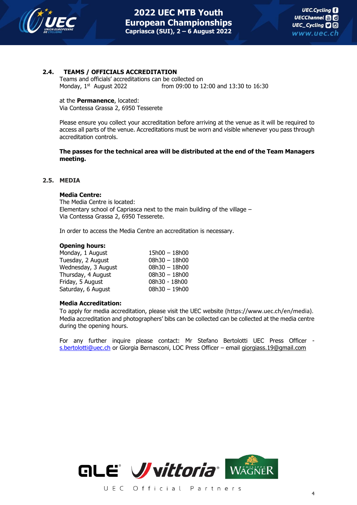

# **2.4. TEAMS / OFFICIALS ACCREDITATION**

Teams and officials' accreditations can be collected on Monday, 1st from 09:00 to 12:00 and 13:30 to 16:30

at the **Permanence**, located: Via Contessa Grassa 2, 6950 Tesserete

Please ensure you collect your accreditation before arriving at the venue as it will be required to access all parts of the venue. Accreditations must be worn and visible whenever you pass through accreditation controls.

**The passes for the technical area will be distributed at the end of the Team Managers meeting.**

#### **2.5. MEDIA**

#### **Media Centre:**

The Media Centre is located: Elementary school of Capriasca next to the main building of the village – Via Contessa Grassa 2, 6950 Tesserete.

In order to access the Media Centre an accreditation is necessary.

#### **Opening hours:**

| $15h00 - 18h00$ |
|-----------------|
| $08h30 - 18h00$ |
| $08h30 - 18h00$ |
| $08h30 - 18h00$ |
| 08h30 - 18h00   |
| $08h30 - 19h00$ |
|                 |

#### **Media Accreditation:**

To apply for media accreditation, please visit the UEC website (https://www.uec.ch/en/media). Media accreditation and photographers' bibs can be collected can be collected at the media centre during the opening hours.

For any further inquire please contact: Mr Stefano Bertolotti UEC Press Officer [s.bertolotti@uec.ch](mailto:s.bertolotti@uec.ch) or Giorgia Bernasconi, LOC Press Officer - email [giorgiass.19@gmail.com](mailto:giorgiass.19@gmail.com)

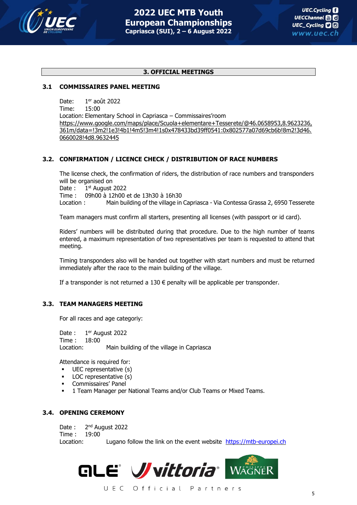![](_page_4_Picture_0.jpeg)

#### **3. OFFICIAL MEETINGS**

#### **3.1 COMMISSAIRES PANEL MEETING**

Date:  $1<sup>er</sup>$  août 2022

Time: 15:00

Location: Elementary School in Capriasca – Commissaires'room [https://www.google.com/maps/place/Scuola+elementare+Tesserete/@46.0658953,8.9623236,](https://www.google.com/maps/place/Scuola+elementare+Tesserete/@46.0658953,8.9623236,361m/data=!3m2!1e3!4b1!4m5!3m4!1s0x478433bd39ff0541:0x802577a07d69cb6b!8m2!3d46.0660028!4d8.9632445) [361m/data=!3m2!1e3!4b1!4m5!3m4!1s0x478433bd39ff0541:0x802577a07d69cb6b!8m2!3d46.](https://www.google.com/maps/place/Scuola+elementare+Tesserete/@46.0658953,8.9623236,361m/data=!3m2!1e3!4b1!4m5!3m4!1s0x478433bd39ff0541:0x802577a07d69cb6b!8m2!3d46.0660028!4d8.9632445) [0660028!4d8.9632445](https://www.google.com/maps/place/Scuola+elementare+Tesserete/@46.0658953,8.9623236,361m/data=!3m2!1e3!4b1!4m5!3m4!1s0x478433bd39ff0541:0x802577a07d69cb6b!8m2!3d46.0660028!4d8.9632445)

# **3.2. CONFIRMATION / LICENCE CHECK / DISTRIBUTION OF RACE NUMBERS**

The license check, the confirmation of riders, the distribution of race numbers and transponders will be organised on

Date:  $1<sup>st</sup>$  August 2022

Time : 09h00 à 12h00 et de 13h30 à 16h30

Location : Main building of the village in Capriasca - Via Contessa Grassa 2, 6950 Tesserete

Team managers must confirm all starters, presenting all licenses (with passport or id card).

Riders' numbers will be distributed during that procedure. Due to the high number of teams entered, a maximum representation of two representatives per team is requested to attend that meeting.

Timing transponders also will be handed out together with start numbers and must be returned immediately after the race to the main building of the village.

If a transponder is not returned a  $130 \in$  penalty will be applicable per transponder.

#### **3.3. TEAM MANAGERS MEETING**

For all races and age categoriy:

Date : 1<sup>er</sup> August 2022 Time : 18:00 Location: Main building of the village in Capriasca

Attendance is required for:

- UEC representative (s)
- LOC representative (s)
- Commissaires' Panel
- 1 Team Manager per National Teams and/or Club Teams or Mixed Teams.

#### **3.4. OPENING CEREMONY**

Date: 2<sup>nd</sup> August 2022 Time : 19:00 Location: Lugano follow the link on the event website [https://mtb-europei.ch](https://mtb-europei.ch/)

![](_page_4_Picture_27.jpeg)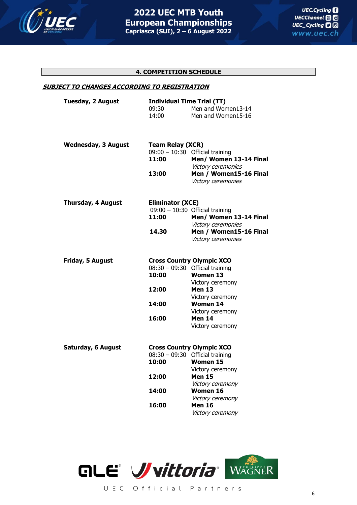![](_page_5_Picture_0.jpeg)

# **4. COMPETITION SCHEDULE**

#### **SUBJECT TO CHANGES ACCORDING TO REGISTRATION**

|  | <b>Tuesday, 2 August</b>   | <b>Individual Time Trial (TT)</b>                                                 |                                                                                                                                                                                                                        |  |
|--|----------------------------|-----------------------------------------------------------------------------------|------------------------------------------------------------------------------------------------------------------------------------------------------------------------------------------------------------------------|--|
|  |                            | 09:30                                                                             | Men and Women13-14                                                                                                                                                                                                     |  |
|  |                            | 14:00                                                                             | Men and Women15-16                                                                                                                                                                                                     |  |
|  | <b>Wednesday, 3 August</b> | <b>Team Relay (XCR)</b>                                                           |                                                                                                                                                                                                                        |  |
|  | 11:00                      | $09:00 - 10:30$ Official training<br>Men/ Women 13-14 Final<br>Victory ceremonies |                                                                                                                                                                                                                        |  |
|  |                            | 13:00                                                                             | Men / Women15-16 Final<br>Victory ceremonies                                                                                                                                                                           |  |
|  | <b>Thursday, 4 August</b>  | <b>Eliminator (XCE)</b>                                                           |                                                                                                                                                                                                                        |  |
|  |                            |                                                                                   | $09:00 - 10:30$ Official training                                                                                                                                                                                      |  |
|  |                            | 11:00                                                                             | Men/ Women 13-14 Final<br>Victory ceremonies                                                                                                                                                                           |  |
|  |                            | 14.30                                                                             | Men / Women15-16 Final<br>Victory ceremonies                                                                                                                                                                           |  |
|  | Friday, 5 August           | 10:00<br>12:00<br>14:00<br>16:00                                                  | <b>Cross Country Olympic XCO</b><br>$08:30 - 09:30$ Official training<br><b>Women 13</b><br>Victory ceremony<br><b>Men 13</b><br>Victory ceremony<br><b>Women 14</b><br>Victory ceremony<br>Men 14<br>Victory ceremony |  |
|  | <b>Saturday, 6 August</b>  | 10:00<br>12:00                                                                    | <b>Cross Country Olympic XCO</b><br>$08:30 - 09:30$ Official training<br><b>Women 15</b><br>Victory ceremony<br><b>Men 15</b><br>Victory ceremony                                                                      |  |
|  |                            | 14:00                                                                             | Women 16<br>Victory ceremony                                                                                                                                                                                           |  |
|  |                            | 16:00                                                                             | Men 16                                                                                                                                                                                                                 |  |

![](_page_5_Picture_6.jpeg)

Victory ceremony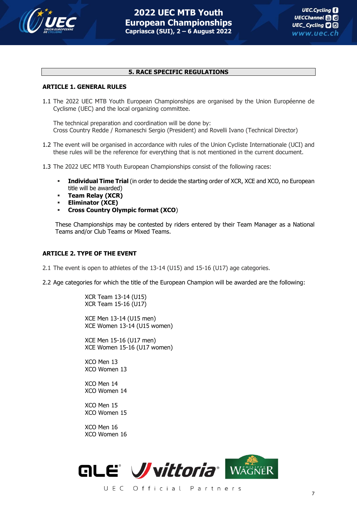![](_page_6_Picture_0.jpeg)

#### **5. RACE SPECIFIC REGULATIONS**

#### **ARTICLE 1. GENERAL RULES**

1.1 The 2022 UEC MTB Youth European Championships are organised by the Union Européenne de Cyclisme (UEC) and the local organizing committee.

The technical preparation and coordination will be done by: Cross Country Redde / Romaneschi Sergio (President) and Rovelli Ivano (Technical Director)

- 1.2 The event will be organised in accordance with rules of the Union Cycliste Internationale (UCI) and these rules will be the reference for everything that is not mentioned in the current document.
- 1.3 The 2022 UEC MTB Youth European Championships consist of the following races:
	- **EXECT Individual Time Trial** (in order to decide the starting order of XCR, XCE and XCO, no European title will be awarded)
	- **Team Relay (XCR)**
	- **Eliminator (XCE)**
	- **Cross Country Olympic format (XCO**)

These Championships may be contested by riders entered by their Team Manager as a National Teams and/or Club Teams or Mixed Teams.

#### **ARTICLE 2. TYPE OF THE EVENT**

2.1 The event is open to athletes of the 13-14 (U15) and 15-16 (U17) age categories.

2.2 Age categories for which the title of the European Champion will be awarded are the following:

XCR Team 13-14 (U15) XCR Team 15-16 (U17)

XCE Men 13-14 (U15 men) XCE Women 13-14 (U15 women)

XCE Men 15-16 (U17 men) XCE Women 15-16 (U17 women)

XCO Men 13 XCO Women 13

XCO Men 14 XCO Women 14

XCO Men 15 XCO Women 15

XCO Men 16 XCO Women 16

![](_page_6_Picture_24.jpeg)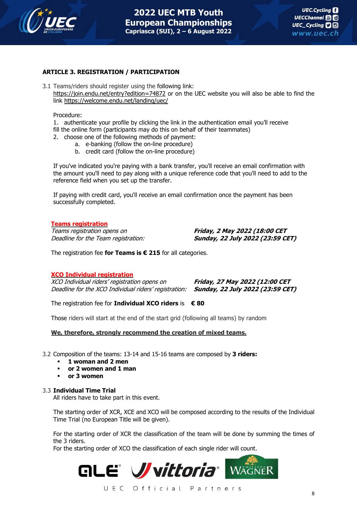![](_page_7_Picture_0.jpeg)

# **ARTICLE 3. REGISTRATION / PARTICIPATION**

3.1 Teams/riders should register using the following link: <https://join.endu.net/entry?edition=74872> or on the UEC website you will also be able to find the link <https://welcome.endu.net/landing/uec/>

Procedure:

1. authenticate your profile by clicking the link in the authentication email you'll receive fill the online form (participants may do this on behalf of their teammates)

- 2. choose one of the following methods of payment:
	- a. e-banking (follow the on-line procedure)
	- b. credit card (follow the on-line procedure)

If you've indicated you're paying with a bank transfer, you'll receive an email confirmation with the amount you'll need to pay along with a unique reference code that you'll need to add to the reference field when you set up the transfer.

If paying with credit card, you'll receive an email confirmation once the payment has been successfully completed.

#### **Teams registration**

Teams registration opens on **Friday, 2 May 2022 (18:00 CET**

Deadline for the Team registration: **Sunday, 22 July 2022 (23:59 CET)**

The registration fee **for Teams is € 215** for all categories.

# **XCO Individual registration**

XCO Individual riders' registration opens on **Friday, 27 May 2022 (12:00 CET** Deadline for the XCO Individual riders' registration: **Sunday, 22 July 2022 (23:59 CET)**

The registration fee for **Individual XCO riders** is **€ 80**

Those riders will start at the end of the start grid (following all teams) by random

#### **We, therefore, strongly recommend the creation of mixed teams.**

- 3.2 Composition of the teams: 13-14 and 15-16 teams are composed by **3 riders:**
	- **1 woman and 2 men**
	- **or 2 women and 1 man**
	- **or 3 women**

#### 3.3 **Individual Time Trial**

All riders have to take part in this event.

The starting order of XCR, XCE and XCO will be composed according to the results of the Individual Time Trial (no European Title will be given).

For the starting order of XCR the classification of the team will be done by summing the times of the 3 riders.

For the starting order of XCO the classification of each single rider will count.

![](_page_7_Picture_31.jpeg)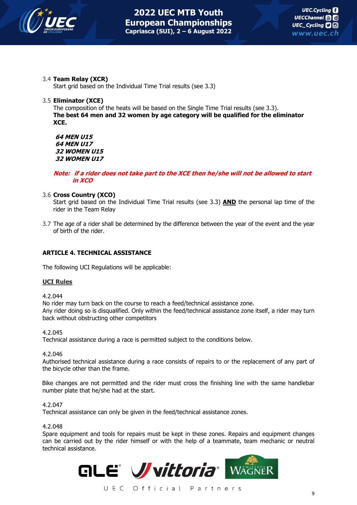![](_page_8_Picture_0.jpeg)

# 3.4 **Team Relay (XCR)**

Start grid based on the Individual Time Trial results (see 3.3)

# 3.5 **Eliminator (XCE)**

The composition of the heats will be based on the Single Time Trial results (see 3.3). **The best 64 men and 32 women by age category will be qualified for the eliminator XCE.**

**64 MEN U15 64 MEN U17 32 WOMEN U15 32 WOMEN U17**

# **Note: if <sup>a</sup> rider does not take part to the XCE then he/she will not be allowed to start in XCO**

# 3.6 **Cross Country (XCO)**

Start grid based on the Individual Time Trial results (see 3.3) **AND** the personal lap time of the rider in the Team Relay

3.7 The age of a rider shall be determined by the difference between the year of the event and the year of birth of the rider.

# **ARTICLE 4. TECHNICAL ASSISTANCE**

The following UCI Regulations will be applicable:

# **UCI Rules**

4.2.044

No rider may turn back on the course to reach a feed/technical assistance zone. Any rider doing so is disqualified. Only within the feed/technical assistance zone itself, a rider may turn back without obstructing other competitors

4.2.045

Technical assistance during a race is permitted subject to the conditions below.

# 4.2.046

Authorised technical assistance during a race consists of repairs to or the replacement of any part of the bicycle other than the frame.

Bike changes are not permitted and the rider must cross the finishing line with the same handlebar number plate that he/she had at the start.

# 4.2.047

Technical assistance can only be given in the feed/technical assistance zones.

# 4.2.048

Spare equipment and tools for repairs must be kept in these zones. Repairs and equipment changes can be carried out by the rider himself or with the help of a teammate, team mechanic or neutral technical assistance.

![](_page_8_Picture_26.jpeg)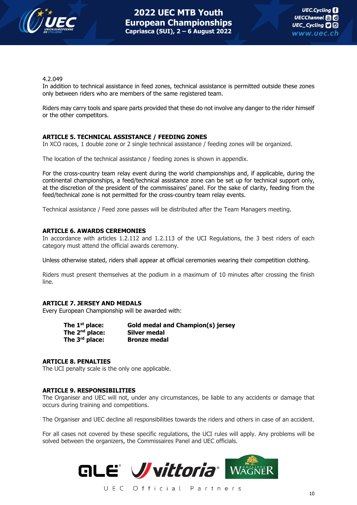![](_page_9_Picture_0.jpeg)

#### 4.2.049

In addition to technical assistance in feed zones, technical assistance is permitted outside these zones only between riders who are members of the same registered team.

Riders may carry tools and spare parts provided that these do not involve any danger to the rider himself or the other competitors.

# **ARTICLE 5. TECHNICAL ASSISTANCE / FEEDING ZONES**

In XCO races, 1 double zone or 2 single technical assistance / feeding zones will be organized.

The location of the technical assistance / feeding zones is shown in appendix.

For the cross-country team relay event during the world championships and, if applicable, during the continental championships, a feed/technical assistance zone can be set up for technical support only, at the discretion of the president of the commissaires' panel. For the sake of clarity, feeding from the feed/technical zone is not permitted for the cross-country team relay events.

Technical assistance / Feed zone passes will be distributed after the Team Managers meeting.

#### **ARTICLE 6. AWARDS CEREMONIES**

In accordance with articles 1.2.112 and 1.2.113 of the UCI Regulations, the 3 best riders of each category must attend the official awards ceremony.

Unless otherwise stated, riders shall appear at official ceremonies wearing their competition clothing.

Riders must present themselves at the podium in a maximum of 10 minutes after crossing the finish line.

# **ARTICLE 7. JERSEY AND MEDALS**

Every European Championship will be awarded with:

| The $1st$ place:           | <b>Gold medal and Champion(s) jersey</b> |
|----------------------------|------------------------------------------|
| The $2^{nd}$ place:        | Silver medal                             |
| The $3^{\text{rd}}$ place: | <b>Bronze medal</b>                      |

#### **ARTICLE 8. PENALTIES**

The UCI penalty scale is the only one applicable.

#### **ARTICLE 9. RESPONSIBILITIES**

The Organiser and UEC will not, under any circumstances, be liable to any accidents or damage that occurs during training and competitions.

The Organiser and UEC decline all responsibilities towards the riders and others in case of an accident.

For all cases not covered by these specific regulations, the UCI rules will apply. Any problems will be solved between the organizers, the Commissaires Panel and UEC officials.

![](_page_9_Picture_24.jpeg)